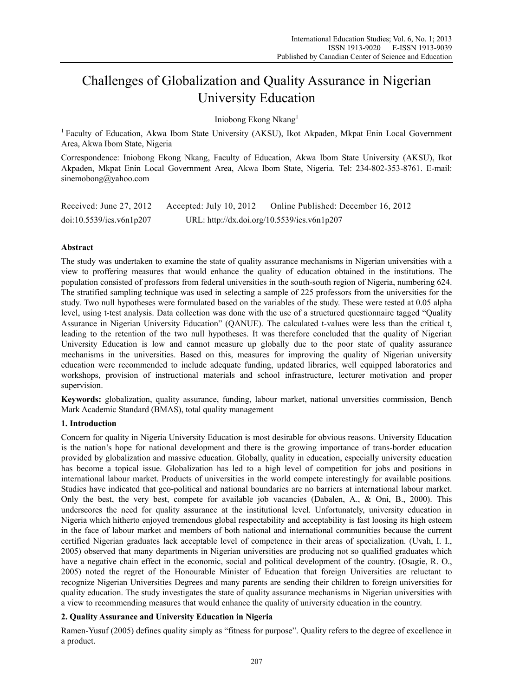# Challenges of Globalization and Quality Assurance in Nigerian University Education

Iniobong Ekong Nkang<sup>1</sup>

<sup>1</sup> Faculty of Education, Akwa Ibom State University (AKSU), Ikot Akpaden, Mkpat Enin Local Government Area, Akwa Ibom State, Nigeria

Correspondence: Iniobong Ekong Nkang, Faculty of Education, Akwa Ibom State University (AKSU), Ikot Akpaden, Mkpat Enin Local Government Area, Akwa Ibom State, Nigeria. Tel: 234-802-353-8761. E-mail: sinemobong@yahoo.com

| Received: June 27, 2012  | Accepted: July 10, 2012                     | Online Published: December 16, 2012 |
|--------------------------|---------------------------------------------|-------------------------------------|
| doi:10.5539/ies.v6n1p207 | URL: http://dx.doi.org/10.5539/ies.v6n1p207 |                                     |

# **Abstract**

The study was undertaken to examine the state of quality assurance mechanisms in Nigerian universities with a view to proffering measures that would enhance the quality of education obtained in the institutions. The population consisted of professors from federal universities in the south-south region of Nigeria, numbering 624. The stratified sampling technique was used in selecting a sample of 225 professors from the universities for the study. Two null hypotheses were formulated based on the variables of the study. These were tested at 0.05 alpha level, using t-test analysis. Data collection was done with the use of a structured questionnaire tagged "Quality Assurance in Nigerian University Education" (QANUE). The calculated t-values were less than the critical t, leading to the retention of the two null hypotheses. It was therefore concluded that the quality of Nigerian University Education is low and cannot measure up globally due to the poor state of quality assurance mechanisms in the universities. Based on this, measures for improving the quality of Nigerian university education were recommended to include adequate funding, updated libraries, well equipped laboratories and workshops, provision of instructional materials and school infrastructure, lecturer motivation and proper supervision.

**Keywords:** globalization, quality assurance, funding, labour market, national unversities commission, Bench Mark Academic Standard (BMAS), total quality management

## **1. Introduction**

Concern for quality in Nigeria University Education is most desirable for obvious reasons. University Education is the nation's hope for national development and there is the growing importance of trans-border education provided by globalization and massive education. Globally, quality in education, especially university education has become a topical issue. Globalization has led to a high level of competition for jobs and positions in international labour market. Products of universities in the world compete interestingly for available positions. Studies have indicated that geo-political and national boundaries are no barriers at international labour market. Only the best, the very best, compete for available job vacancies (Dabalen, A., & Oni, B., 2000). This underscores the need for quality assurance at the institutional level. Unfortunately, university education in Nigeria which hitherto enjoyed tremendous global respectability and acceptability is fast loosing its high esteem in the face of labour market and members of both national and international communities because the current certified Nigerian graduates lack acceptable level of competence in their areas of specialization. (Uvah, I. I., 2005) observed that many departments in Nigerian universities are producing not so qualified graduates which have a negative chain effect in the economic, social and political development of the country. (Osagie, R. O., 2005) noted the regret of the Honourable Minister of Education that foreign Universities are reluctant to recognize Nigerian Universities Degrees and many parents are sending their children to foreign universities for quality education. The study investigates the state of quality assurance mechanisms in Nigerian universities with a view to recommending measures that would enhance the quality of university education in the country.

# **2. Quality Assurance and University Education in Nigeria**

Ramen-Yusuf (2005) defines quality simply as "fitness for purpose". Quality refers to the degree of excellence in a product.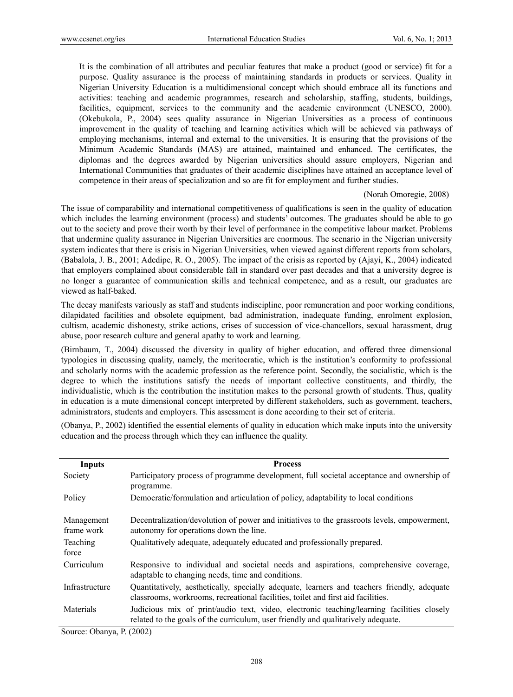It is the combination of all attributes and peculiar features that make a product (good or service) fit for a purpose. Quality assurance is the process of maintaining standards in products or services. Quality in Nigerian University Education is a multidimensional concept which should embrace all its functions and activities: teaching and academic programmes, research and scholarship, staffing, students, buildings, facilities, equipment, services to the community and the academic environment (UNESCO, 2000). (Okebukola, P., 2004) sees quality assurance in Nigerian Universities as a process of continuous improvement in the quality of teaching and learning activities which will be achieved via pathways of employing mechanisms, internal and external to the universities. It is ensuring that the provisions of the Minimum Academic Standards (MAS) are attained, maintained and enhanced. The certificates, the diplomas and the degrees awarded by Nigerian universities should assure employers, Nigerian and International Communities that graduates of their academic disciplines have attained an acceptance level of competence in their areas of specialization and so are fit for employment and further studies.

#### (Norah Omoregie, 2008)

The issue of comparability and international competitiveness of qualifications is seen in the quality of education which includes the learning environment (process) and students' outcomes. The graduates should be able to go out to the society and prove their worth by their level of performance in the competitive labour market. Problems that undermine quality assurance in Nigerian Universities are enormous. The scenario in the Nigerian university system indicates that there is crisis in Nigerian Universities, when viewed against different reports from scholars, (Babalola, J. B., 2001; Adedipe, R. O., 2005). The impact of the crisis as reported by (Ajayi, K., 2004) indicated that employers complained about considerable fall in standard over past decades and that a university degree is no longer a guarantee of communication skills and technical competence, and as a result, our graduates are viewed as half-baked.

The decay manifests variously as staff and students indiscipline, poor remuneration and poor working conditions, dilapidated facilities and obsolete equipment, bad administration, inadequate funding, enrolment explosion, cultism, academic dishonesty, strike actions, crises of succession of vice-chancellors, sexual harassment, drug abuse, poor research culture and general apathy to work and learning.

(Birnbaum, T., 2004) discussed the diversity in quality of higher education, and offered three dimensional typologies in discussing quality, namely, the meritocratic, which is the institution's conformity to professional and scholarly norms with the academic profession as the reference point. Secondly, the socialistic, which is the degree to which the institutions satisfy the needs of important collective constituents, and thirdly, the individualistic, which is the contribution the institution makes to the personal growth of students. Thus, quality in education is a mute dimensional concept interpreted by different stakeholders, such as government, teachers, administrators, students and employers. This assessment is done according to their set of criteria.

(Obanya, P., 2002) identified the essential elements of quality in education which make inputs into the university education and the process through which they can influence the quality.

| Inputs                   | <b>Process</b>                                                                                                                                                                  |
|--------------------------|---------------------------------------------------------------------------------------------------------------------------------------------------------------------------------|
| Society                  | Participatory process of programme development, full societal acceptance and ownership of<br>programme.                                                                         |
| Policy                   | Democratic/formulation and articulation of policy, adaptability to local conditions                                                                                             |
| Management<br>frame work | Decentralization/devolution of power and initiatives to the grassroots levels, empowerment,<br>autonomy for operations down the line.                                           |
| Teaching<br>force        | Qualitatively adequate, adequately educated and professionally prepared.                                                                                                        |
| Curriculum               | Responsive to individual and societal needs and aspirations, comprehensive coverage,<br>adaptable to changing needs, time and conditions.                                       |
| Infrastructure           | Quantitatively, aesthetically, specially adequate, learners and teachers friendly, adequate<br>classrooms, workrooms, recreational facilities, toilet and first aid facilities. |
| Materials                | Judicious mix of print/audio text, video, electronic teaching/learning facilities closely<br>related to the goals of the curriculum, user friendly and qualitatively adequate.  |

Source: Obanya, P. (2002)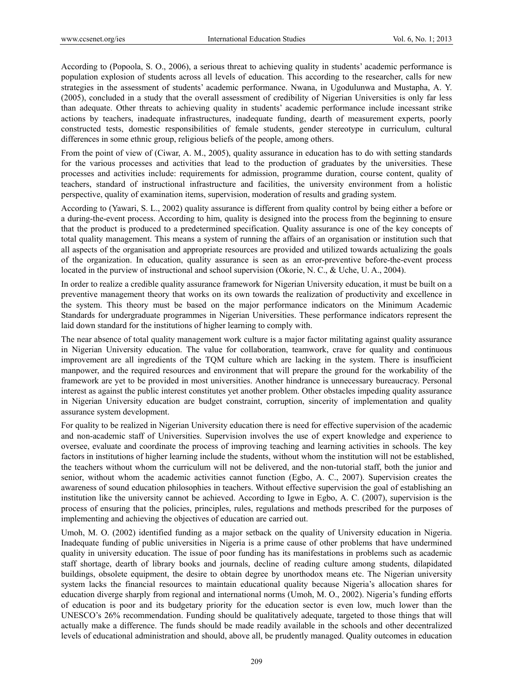According to (Popoola, S. O., 2006), a serious threat to achieving quality in students' academic performance is population explosion of students across all levels of education. This according to the researcher, calls for new strategies in the assessment of students' academic performance. Nwana, in Ugodulunwa and Mustapha, A. Y. (2005), concluded in a study that the overall assessment of credibility of Nigerian Universities is only far less than adequate. Other threats to achieving quality in students' academic performance include incessant strike actions by teachers, inadequate infrastructures, inadequate funding, dearth of measurement experts, poorly constructed tests, domestic responsibilities of female students, gender stereotype in curriculum, cultural differences in some ethnic group, religious beliefs of the people, among others.

From the point of view of (Ciwar, A. M., 2005), quality assurance in education has to do with setting standards for the various processes and activities that lead to the production of graduates by the universities. These processes and activities include: requirements for admission, programme duration, course content, quality of teachers, standard of instructional infrastructure and facilities, the university environment from a holistic perspective, quality of examination items, supervision, moderation of results and grading system.

According to (Yawari, S. L., 2002) quality assurance is different from quality control by being either a before or a during-the-event process. According to him, quality is designed into the process from the beginning to ensure that the product is produced to a predetermined specification. Quality assurance is one of the key concepts of total quality management. This means a system of running the affairs of an organisation or institution such that all aspects of the organisation and appropriate resources are provided and utilized towards actualizing the goals of the organization. In education, quality assurance is seen as an error-preventive before-the-event process located in the purview of instructional and school supervision (Okorie, N. C., & Uche, U. A., 2004).

In order to realize a credible quality assurance framework for Nigerian University education, it must be built on a preventive management theory that works on its own towards the realization of productivity and excellence in the system. This theory must be based on the major performance indicators on the Minimum Academic Standards for undergraduate programmes in Nigerian Universities. These performance indicators represent the laid down standard for the institutions of higher learning to comply with.

The near absence of total quality management work culture is a major factor militating against quality assurance in Nigerian University education. The value for collaboration, teamwork, crave for quality and continuous improvement are all ingredients of the TQM culture which are lacking in the system. There is insufficient manpower, and the required resources and environment that will prepare the ground for the workability of the framework are yet to be provided in most universities. Another hindrance is unnecessary bureaucracy. Personal interest as against the public interest constitutes yet another problem. Other obstacles impeding quality assurance in Nigerian University education are budget constraint, corruption, sincerity of implementation and quality assurance system development.

For quality to be realized in Nigerian University education there is need for effective supervision of the academic and non-academic staff of Universities. Supervision involves the use of expert knowledge and experience to oversee, evaluate and coordinate the process of improving teaching and learning activities in schools. The key factors in institutions of higher learning include the students, without whom the institution will not be established, the teachers without whom the curriculum will not be delivered, and the non-tutorial staff, both the junior and senior, without whom the academic activities cannot function (Egbo, A. C., 2007). Supervision creates the awareness of sound education philosophies in teachers. Without effective supervision the goal of establishing an institution like the university cannot be achieved. According to Igwe in Egbo, A. C. (2007), supervision is the process of ensuring that the policies, principles, rules, regulations and methods prescribed for the purposes of implementing and achieving the objectives of education are carried out.

Umoh, M. O. (2002) identified funding as a major setback on the quality of University education in Nigeria. Inadequate funding of public universities in Nigeria is a prime cause of other problems that have undermined quality in university education. The issue of poor funding has its manifestations in problems such as academic staff shortage, dearth of library books and journals, decline of reading culture among students, dilapidated buildings, obsolete equipment, the desire to obtain degree by unorthodox means etc. The Nigerian university system lacks the financial resources to maintain educational quality because Nigeria's allocation shares for education diverge sharply from regional and international norms (Umoh, M. O., 2002). Nigeria's funding efforts of education is poor and its budgetary priority for the education sector is even low, much lower than the UNESCO's 26% recommendation. Funding should be qualitatively adequate, targeted to those things that will actually make a difference. The funds should be made readily available in the schools and other decentralized levels of educational administration and should, above all, be prudently managed. Quality outcomes in education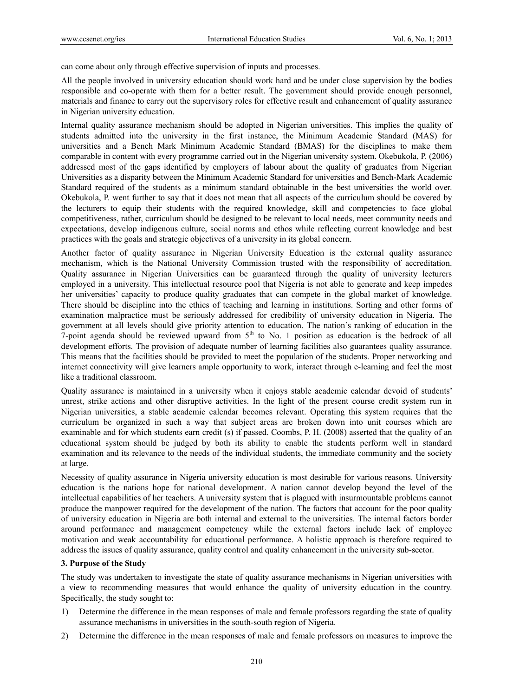can come about only through effective supervision of inputs and processes.

All the people involved in university education should work hard and be under close supervision by the bodies responsible and co-operate with them for a better result. The government should provide enough personnel, materials and finance to carry out the supervisory roles for effective result and enhancement of quality assurance in Nigerian university education.

Internal quality assurance mechanism should be adopted in Nigerian universities. This implies the quality of students admitted into the university in the first instance, the Minimum Academic Standard (MAS) for universities and a Bench Mark Minimum Academic Standard (BMAS) for the disciplines to make them comparable in content with every programme carried out in the Nigerian university system. Okebukola, P. (2006) addressed most of the gaps identified by employers of labour about the quality of graduates from Nigerian Universities as a disparity between the Minimum Academic Standard for universities and Bench-Mark Academic Standard required of the students as a minimum standard obtainable in the best universities the world over. Okebukola, P. went further to say that it does not mean that all aspects of the curriculum should be covered by the lecturers to equip their students with the required knowledge, skill and competencies to face global competitiveness, rather, curriculum should be designed to be relevant to local needs, meet community needs and expectations, develop indigenous culture, social norms and ethos while reflecting current knowledge and best practices with the goals and strategic objectives of a university in its global concern.

Another factor of quality assurance in Nigerian University Education is the external quality assurance mechanism, which is the National University Commission trusted with the responsibility of accreditation. Quality assurance in Nigerian Universities can be guaranteed through the quality of university lecturers employed in a university. This intellectual resource pool that Nigeria is not able to generate and keep impedes her universities' capacity to produce quality graduates that can compete in the global market of knowledge. There should be discipline into the ethics of teaching and learning in institutions. Sorting and other forms of examination malpractice must be seriously addressed for credibility of university education in Nigeria. The government at all levels should give priority attention to education. The nation's ranking of education in the 7-point agenda should be reviewed upward from  $5<sup>th</sup>$  to No. 1 position as education is the bedrock of all development efforts. The provision of adequate number of learning facilities also guarantees quality assurance. This means that the facilities should be provided to meet the population of the students. Proper networking and internet connectivity will give learners ample opportunity to work, interact through e-learning and feel the most like a traditional classroom.

Quality assurance is maintained in a university when it enjoys stable academic calendar devoid of students' unrest, strike actions and other disruptive activities. In the light of the present course credit system run in Nigerian universities, a stable academic calendar becomes relevant. Operating this system requires that the curriculum be organized in such a way that subject areas are broken down into unit courses which are examinable and for which students earn credit (s) if passed. Coombs, P. H. (2008) asserted that the quality of an educational system should be judged by both its ability to enable the students perform well in standard examination and its relevance to the needs of the individual students, the immediate community and the society at large.

Necessity of quality assurance in Nigeria university education is most desirable for various reasons. University education is the nations hope for national development. A nation cannot develop beyond the level of the intellectual capabilities of her teachers. A university system that is plagued with insurmountable problems cannot produce the manpower required for the development of the nation. The factors that account for the poor quality of university education in Nigeria are both internal and external to the universities. The internal factors border around performance and management competency while the external factors include lack of employee motivation and weak accountability for educational performance. A holistic approach is therefore required to address the issues of quality assurance, quality control and quality enhancement in the university sub-sector.

## **3. Purpose of the Study**

The study was undertaken to investigate the state of quality assurance mechanisms in Nigerian universities with a view to recommending measures that would enhance the quality of university education in the country. Specifically, the study sought to:

- 1) Determine the difference in the mean responses of male and female professors regarding the state of quality assurance mechanisms in universities in the south-south region of Nigeria.
- 2) Determine the difference in the mean responses of male and female professors on measures to improve the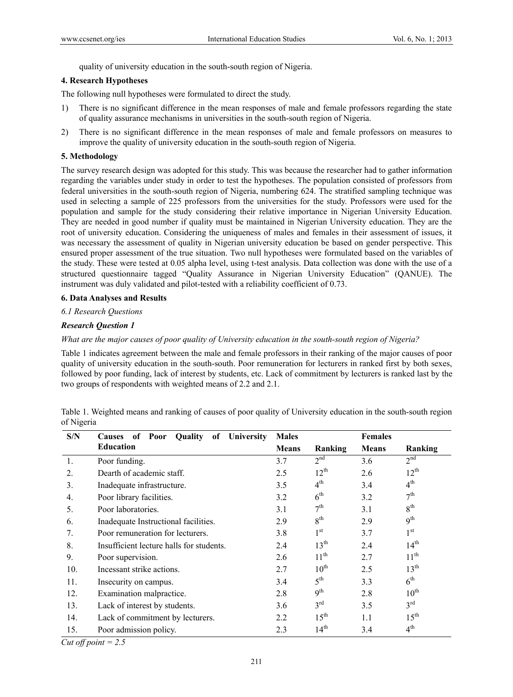quality of university education in the south-south region of Nigeria.

## **4. Research Hypotheses**

The following null hypotheses were formulated to direct the study.

- 1) There is no significant difference in the mean responses of male and female professors regarding the state of quality assurance mechanisms in universities in the south-south region of Nigeria.
- 2) There is no significant difference in the mean responses of male and female professors on measures to improve the quality of university education in the south-south region of Nigeria.

## **5. Methodology**

The survey research design was adopted for this study. This was because the researcher had to gather information regarding the variables under study in order to test the hypotheses. The population consisted of professors from federal universities in the south-south region of Nigeria, numbering 624. The stratified sampling technique was used in selecting a sample of 225 professors from the universities for the study. Professors were used for the population and sample for the study considering their relative importance in Nigerian University Education. They are needed in good number if quality must be maintained in Nigerian University education. They are the root of university education. Considering the uniqueness of males and females in their assessment of issues, it was necessary the assessment of quality in Nigerian university education be based on gender perspective. This ensured proper assessment of the true situation. Two null hypotheses were formulated based on the variables of the study. These were tested at 0.05 alpha level, using t-test analysis. Data collection was done with the use of a structured questionnaire tagged "Quality Assurance in Nigerian University Education" (QANUE). The instrument was duly validated and pilot-tested with a reliability coefficient of 0.73.

## **6. Data Analyses and Results**

## *6.1 Research Questions*

# *Research Question 1*

## *What are the major causes of poor quality of University education in the south-south region of Nigeria?*

Table 1 indicates agreement between the male and female professors in their ranking of the major causes of poor quality of university education in the south-south. Poor remuneration for lecturers in ranked first by both sexes, followed by poor funding, lack of interest by students, etc. Lack of commitment by lecturers is ranked last by the two groups of respondents with weighted means of 2.2 and 2.1.

|            |  |  |  | Table 1. Weighted means and ranking of causes of poor quality of University education in the south-south region |  |
|------------|--|--|--|-----------------------------------------------------------------------------------------------------------------|--|
| of Nigeria |  |  |  |                                                                                                                 |  |

| S/N | Quality<br>of Poor<br>of<br>University<br><b>Causes</b> | <b>Males</b> |                  | <b>Females</b> |                  |
|-----|---------------------------------------------------------|--------------|------------------|----------------|------------------|
|     | <b>Education</b>                                        | <b>Means</b> | Ranking          | <b>Means</b>   | Ranking          |
| 1.  | Poor funding.                                           | 3.7          | 2 <sup>nd</sup>  | 3.6            | 2 <sup>nd</sup>  |
| 2.  | Dearth of academic staff.                               | 2.5          | $12^{th}$        | 2.6            | $12^{th}$        |
| 3.  | Inadequate infrastructure.                              | 3.5          | 4 <sup>th</sup>  | 3.4            | 4 <sup>th</sup>  |
| 4.  | Poor library facilities.                                | 3.2          | $6^{\text{th}}$  | 3.2            | $7^{th}$         |
| 5.  | Poor laboratories.                                      | 3.1          | 7 <sup>th</sup>  | 3.1            | $8^{\text{th}}$  |
| 6.  | Inadequate Instructional facilities.                    | 2.9          | $8^{\text{th}}$  | 2.9            | 9 <sup>th</sup>  |
| 7.  | Poor remuneration for lecturers.                        | 3.8          | $1^{\rm st}$     | 3.7            | 1 <sup>st</sup>  |
| 8.  | Insufficient lecture halls for students.                | 2.4          | 13 <sup>th</sup> | 2.4            | 14 <sup>th</sup> |
| 9.  | Poor supervision.                                       | 2.6          | 11 <sup>th</sup> | 2.7            | 11 <sup>th</sup> |
| 10. | Incessant strike actions.                               | 2.7          | $10^{\text{th}}$ | 2.5            | 13 <sup>th</sup> |
| 11. | Insecurity on campus.                                   | 3.4          | 5 <sup>th</sup>  | 3.3            | 6 <sup>th</sup>  |
| 12. | Examination malpractice.                                | 2.8          | 9 <sup>th</sup>  | 2.8            | $10^{\text{th}}$ |
| 13. | Lack of interest by students.                           | 3.6          | $3^{\text{rd}}$  | 3.5            | 3 <sup>rd</sup>  |
| 14. | Lack of commitment by lecturers.                        | 2.2          | 15 <sup>th</sup> | 1.1            | $15^{\text{th}}$ |
| 15. | Poor admission policy.                                  | 2.3          | 14 <sup>th</sup> | 3.4            | 4 <sup>th</sup>  |

*Cut off point = 2.5*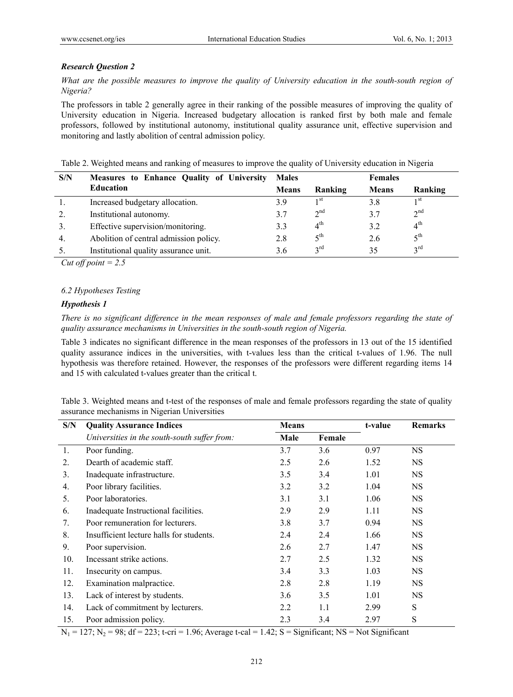# *Research Question 2*

*What are the possible measures to improve the quality of University education in the south-south region of Nigeria?* 

The professors in table 2 generally agree in their ranking of the possible measures of improving the quality of University education in Nigeria. Increased budgetary allocation is ranked first by both male and female professors, followed by institutional autonomy, institutional quality assurance unit, effective supervision and monitoring and lastly abolition of central admission policy.

|  |  | Table 2. Weighted means and ranking of measures to improve the quality of University education in Nigeria |
|--|--|-----------------------------------------------------------------------------------------------------------|
|  |  |                                                                                                           |

| S/N            | Measures to Enhance Quality of University | <b>Males</b> |                       | <b>Females</b> |                 |
|----------------|-------------------------------------------|--------------|-----------------------|----------------|-----------------|
|                | <b>Education</b>                          | <b>Means</b> | Ranking               | <b>Means</b>   | Ranking         |
|                | Increased budgetary allocation.           | 3.9          | 1 st                  | 3.8            | 1 <sup>st</sup> |
| 2.             | Institutional autonomy.                   | 3.7          | $2^{nd}$              | 3.7            | $2^{nd}$        |
| 3 <sub>1</sub> | Effective supervision/monitoring.         | 3.3          | 4 <sup>th</sup>       | 3.2            | $4^{\text{th}}$ |
| 4.             | Abolition of central admission policy.    | 2.8          | $\zeta$ <sup>th</sup> | 2.6            | 5 <sup>th</sup> |
|                | Institutional quality assurance unit.     | 3.6          | $2^{\text{rd}}$       | 35             | $2^{\text{rd}}$ |

*Cut off point = 2.5* 

## *6.2 Hypotheses Testing*

## *Hypothesis 1*

*There is no significant difference in the mean responses of male and female professors regarding the state of quality assurance mechanisms in Universities in the south-south region of Nigeria.* 

Table 3 indicates no significant difference in the mean responses of the professors in 13 out of the 15 identified quality assurance indices in the universities, with t-values less than the critical t-values of 1.96. The null hypothesis was therefore retained. However, the responses of the professors were different regarding items 14 and 15 with calculated t-values greater than the critical t.

| Table 3. Weighted means and t-test of the responses of male and female professors regarding the state of quality |  |  |  |  |
|------------------------------------------------------------------------------------------------------------------|--|--|--|--|
| assurance mechanisms in Nigerian Universities                                                                    |  |  |  |  |

| S/N | <b>Quality Assurance Indices</b>             | <b>Means</b> |        | t-value | <b>Remarks</b> |
|-----|----------------------------------------------|--------------|--------|---------|----------------|
|     | Universities in the south-south suffer from: | Male         | Female |         |                |
| 1.  | Poor funding.                                | 3.7          | 3.6    | 0.97    | <b>NS</b>      |
| 2.  | Dearth of academic staff.                    | 2.5          | 2.6    | 1.52    | <b>NS</b>      |
| 3.  | Inadequate infrastructure.                   | 3.5          | 3.4    | 1.01    | <b>NS</b>      |
| 4.  | Poor library facilities.                     | 3.2          | 3.2    | 1.04    | <b>NS</b>      |
| 5.  | Poor laboratories.                           | 3.1          | 3.1    | 1.06    | <b>NS</b>      |
| 6.  | Inadequate Instructional facilities.         | 2.9          | 2.9    | 1.11    | <b>NS</b>      |
| 7.  | Poor remuneration for lecturers.             | 3.8          | 3.7    | 0.94    | <b>NS</b>      |
| 8.  | Insufficient lecture halls for students.     | 2.4          | 2.4    | 1.66    | <b>NS</b>      |
| 9.  | Poor supervision.                            | 2.6          | 2.7    | 1.47    | NS.            |
| 10. | Incessant strike actions.                    | 2.7          | 2.5    | 1.32    | <b>NS</b>      |
| 11. | Insecurity on campus.                        | 3.4          | 3.3    | 1.03    | <b>NS</b>      |
| 12. | Examination malpractice.                     | 2.8          | 2.8    | 1.19    | NS.            |
| 13. | Lack of interest by students.                | 3.6          | 3.5    | 1.01    | <b>NS</b>      |
| 14. | Lack of commitment by lecturers.             | 2.2          | 1.1    | 2.99    | S              |
| 15. | Poor admission policy.                       | 2.3          | 3.4    | 2.97    | S              |

 $N_1 = 127$ ;  $N_2 = 98$ ; df = 223; t-cri = 1.96; Average t-cal = 1.42; S = Significant; NS = Not Significant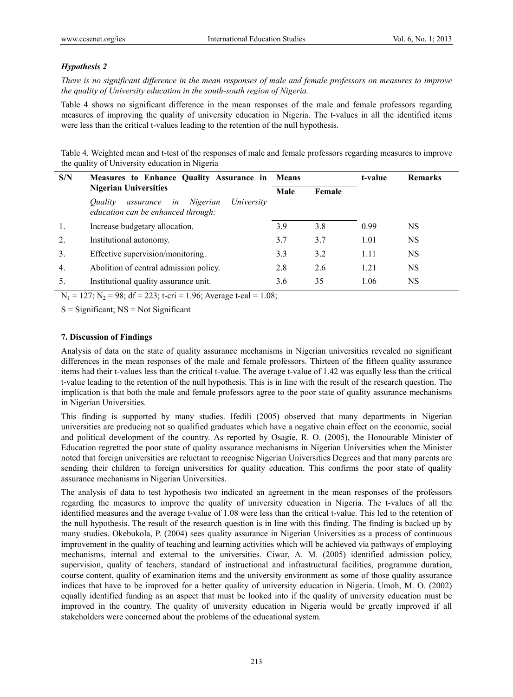# *Hypothesis 2*

*There is no significant difference in the mean responses of male and female professors on measures to improve the quality of University education in the south-south region of Nigeria.* 

Table 4 shows no significant difference in the mean responses of the male and female professors regarding measures of improving the quality of university education in Nigeria. The t-values in all the identified items were less than the critical t-values leading to the retention of the null hypothesis.

Table 4. Weighted mean and t-test of the responses of male and female professors regarding measures to improve the quality of University education in Nigeria

| S/N | Measures to Enhance Quality Assurance in Means                                             |      |        | t-value | <b>Remarks</b> |
|-----|--------------------------------------------------------------------------------------------|------|--------|---------|----------------|
|     | <b>Nigerian Universities</b>                                                               | Male | Female |         |                |
|     | University<br>Ouality<br>Nigerian<br>in<br>assurance<br>education can be enhanced through: |      |        |         |                |
| 1.  | Increase budgetary allocation.                                                             | 3.9  | 3.8    | 0.99    | NS             |
| 2.  | Institutional autonomy.                                                                    | 3.7  | 3.7    | 1.01    | <b>NS</b>      |
| 3.  | Effective supervision/monitoring.                                                          | 3.3  | 3.2    | 1.11    | <b>NS</b>      |
| 4.  | Abolition of central admission policy.                                                     | 2.8  | 2.6    | 1.21    | <b>NS</b>      |
| 5.  | Institutional quality assurance unit.                                                      | 3.6  | 35     | 1.06    | NS             |

 $N_1 = 127$ ;  $N_2 = 98$ ;  $df = 223$ ; t-cri = 1.96; Average t-cal = 1.08;

 $S =$  Significant;  $NS = Not$  Significant

## **7. Discussion of Findings**

Analysis of data on the state of quality assurance mechanisms in Nigerian universities revealed no significant differences in the mean responses of the male and female professors. Thirteen of the fifteen quality assurance items had their t-values less than the critical t-value. The average t-value of 1.42 was equally less than the critical t-value leading to the retention of the null hypothesis. This is in line with the result of the research question. The implication is that both the male and female professors agree to the poor state of quality assurance mechanisms in Nigerian Universities.

This finding is supported by many studies. Ifedili (2005) observed that many departments in Nigerian universities are producing not so qualified graduates which have a negative chain effect on the economic, social and political development of the country. As reported by Osagie, R. O. (2005), the Honourable Minister of Education regretted the poor state of quality assurance mechanisms in Nigerian Universities when the Minister noted that foreign universities are reluctant to recognise Nigerian Universities Degrees and that many parents are sending their children to foreign universities for quality education. This confirms the poor state of quality assurance mechanisms in Nigerian Universities.

The analysis of data to test hypothesis two indicated an agreement in the mean responses of the professors regarding the measures to improve the quality of university education in Nigeria. The t-values of all the identified measures and the average t-value of 1.08 were less than the critical t-value. This led to the retention of the null hypothesis. The result of the research question is in line with this finding. The finding is backed up by many studies. Okebukola, P. (2004) sees quality assurance in Nigerian Universities as a process of continuous improvement in the quality of teaching and learning activities which will be achieved via pathways of employing mechanisms, internal and external to the universities. Ciwar, A. M. (2005) identified admission policy, supervision, quality of teachers, standard of instructional and infrastructural facilities, programme duration, course content, quality of examination items and the university environment as some of those quality assurance indices that have to be improved for a better quality of university education in Nigeria. Umoh, M. O. (2002) equally identified funding as an aspect that must be looked into if the quality of university education must be improved in the country. The quality of university education in Nigeria would be greatly improved if all stakeholders were concerned about the problems of the educational system.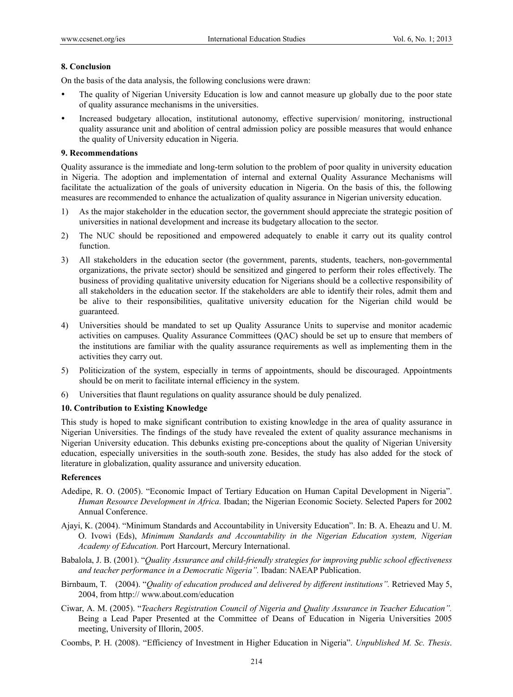#### **8. Conclusion**

On the basis of the data analysis, the following conclusions were drawn:

- The quality of Nigerian University Education is low and cannot measure up globally due to the poor state of quality assurance mechanisms in the universities.
- Increased budgetary allocation, institutional autonomy, effective supervision/ monitoring, instructional quality assurance unit and abolition of central admission policy are possible measures that would enhance the quality of University education in Nigeria.

#### **9. Recommendations**

Quality assurance is the immediate and long-term solution to the problem of poor quality in university education in Nigeria. The adoption and implementation of internal and external Quality Assurance Mechanisms will facilitate the actualization of the goals of university education in Nigeria. On the basis of this, the following measures are recommended to enhance the actualization of quality assurance in Nigerian university education.

- 1) As the major stakeholder in the education sector, the government should appreciate the strategic position of universities in national development and increase its budgetary allocation to the sector.
- 2) The NUC should be repositioned and empowered adequately to enable it carry out its quality control function.
- 3) All stakeholders in the education sector (the government, parents, students, teachers, non-governmental organizations, the private sector) should be sensitized and gingered to perform their roles effectively. The business of providing qualitative university education for Nigerians should be a collective responsibility of all stakeholders in the education sector. If the stakeholders are able to identify their roles, admit them and be alive to their responsibilities, qualitative university education for the Nigerian child would be guaranteed.
- 4) Universities should be mandated to set up Quality Assurance Units to supervise and monitor academic activities on campuses. Quality Assurance Committees (QAC) should be set up to ensure that members of the institutions are familiar with the quality assurance requirements as well as implementing them in the activities they carry out.
- 5) Politicization of the system, especially in terms of appointments, should be discouraged. Appointments should be on merit to facilitate internal efficiency in the system.
- 6) Universities that flaunt regulations on quality assurance should be duly penalized.

#### **10. Contribution to Existing Knowledge**

This study is hoped to make significant contribution to existing knowledge in the area of quality assurance in Nigerian Universities. The findings of the study have revealed the extent of quality assurance mechanisms in Nigerian University education. This debunks existing pre-conceptions about the quality of Nigerian University education, especially universities in the south-south zone. Besides, the study has also added for the stock of literature in globalization, quality assurance and university education.

#### **References**

- Adedipe, R. O. (2005). "Economic Impact of Tertiary Education on Human Capital Development in Nigeria". *Human Resource Development in Africa.* Ibadan; the Nigerian Economic Society. Selected Papers for 2002 Annual Conference.
- Ajayi, K. (2004). "Minimum Standards and Accountability in University Education". In: B. A. Eheazu and U. M. O. Ivowi (Eds), *Minimum Standards and Accountability in the Nigerian Education system, Nigerian Academy of Education.* Port Harcourt, Mercury International.
- Babalola, J. B. (2001). "*Quality Assurance and child-friendly strategies for improving public school effectiveness and teacher performance in a Democratic Nigeria".* Ibadan: NAEAP Publication.
- Birnbaum, T. (2004). "*Quality of education produced and delivered by different institutions".* Retrieved May 5, 2004, from http:// www.about.com/education
- Ciwar, A. M. (2005). "*Teachers Registration Council of Nigeria and Quality Assurance in Teacher Education".* Being a Lead Paper Presented at the Committee of Deans of Education in Nigeria Universities 2005 meeting, University of Illorin, 2005.
- Coombs, P. H. (2008). "Efficiency of Investment in Higher Education in Nigeria". *Unpublished M. Sc. Thesis*.